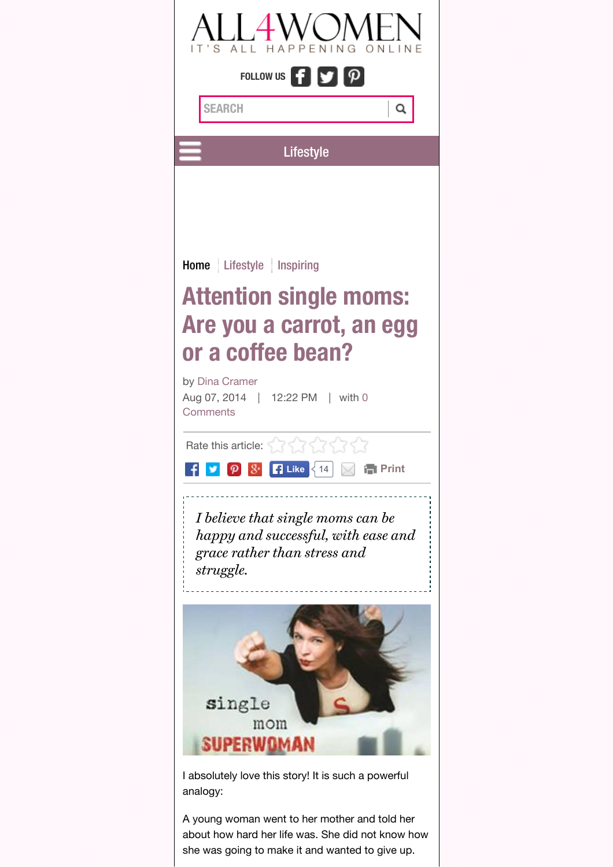

A young woman went to her mother and told her about how hard her life was. She did not know how she was going to make it and wanted to give up.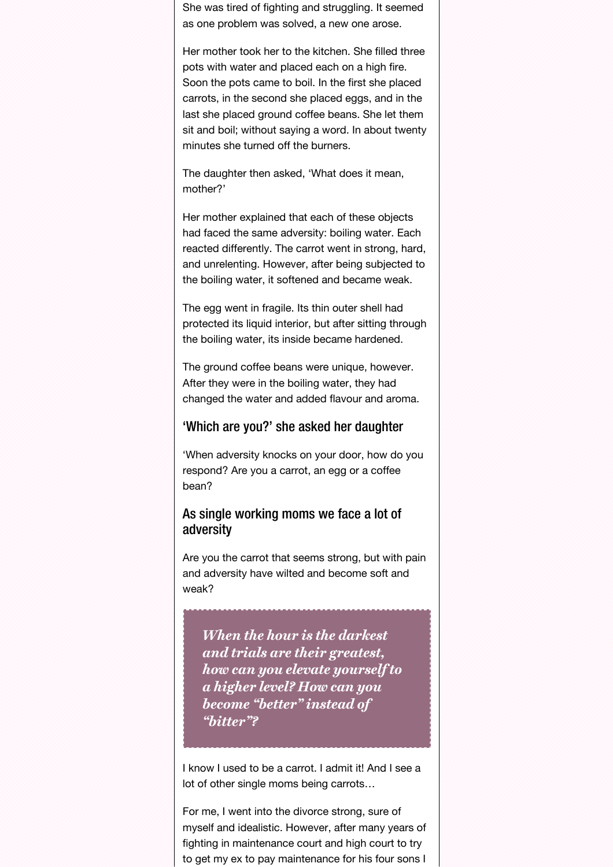She was tired of fighting and struggling. It seemed as one problem was solved, a new one arose.

Her mother took her to the kitchen. She filled three pots with water and placed each on a high fire. Soon the pots came to boil. In the first she placed carrots, in the second she placed eggs, and in the last she placed ground coffee beans. She let them sit and boil; without saying a word. In about twenty minutes she turned off the burners.

The daughter then asked, 'What does it mean, mother?'

Her mother explained that each of these objects had faced the same adversity: boiling water. Each reacted differently. The carrot went in strong, hard, and unrelenting. However, after being subjected to the boiling water, it softened and became weak.

The egg went in fragile. Its thin outer shell had protected its liquid interior, but after sitting through the boiling water, its inside became hardened.

The ground coffee beans were unique, however. After they were in the boiling water, they had changed the water and added flavour and aroma.

#### 'Which are you?' she asked her daughter

'When adversity knocks on your door, how do you respond? Are you a carrot, an egg or a coffee bean?

#### As single working moms we face a lot of adversity

Are you the carrot that seems strong, but with pain and adversity have wilted and become soft and weak?

When the hour is the darkest and trials are their greatest, how can you elevate yourself to a higher level? How can you become "better" instead of "bitter"?

I know I used to be a carrot. I admit it! And I see a lot of other single moms being carrots…

For me, I went into the divorce strong, sure of myself and idealistic. However, after many years of fighting in maintenance court and high court to try to get my ex to pay maintenance for his four sons I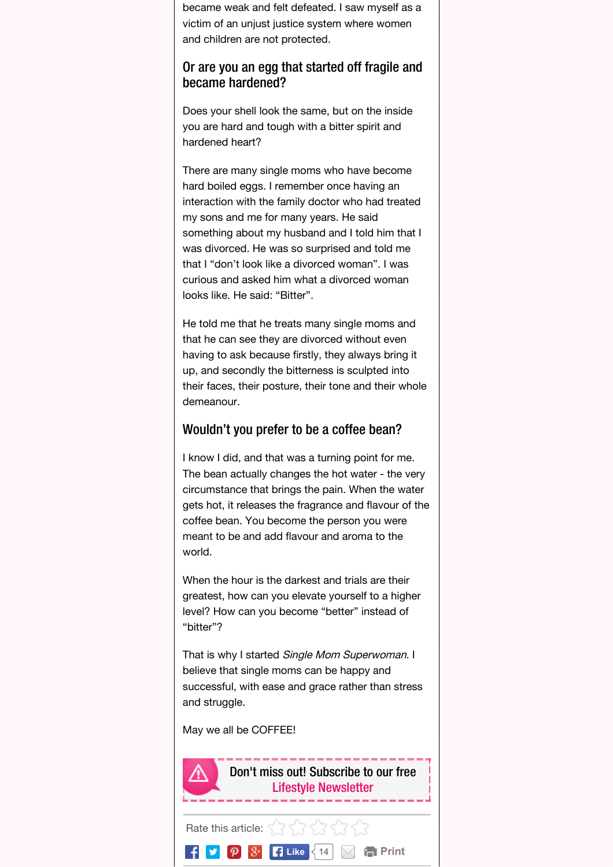became weak and felt defeated. I saw myself as a victim of an unjust justice system where women and children are not protected.

#### Or are you an egg that started off fragile and became hardened?

Does your shell look the same, but on the inside you are hard and tough with a bitter spirit and hardened heart?

There are many single moms who have become hard boiled eggs. I remember once having an interaction with the family doctor who had treated my sons and me for many years. He said something about my husband and I told him that I was divorced. He was so surprised and told me that I "don't look like a divorced woman". I was curious and asked him what a divorced woman looks like. He said: "Bitter".

He told me that he treats many single moms and that he can see they are divorced without even having to ask because firstly, they always bring it up, and secondly the bitterness is sculpted into their faces, their posture, their tone and their whole demeanour.

#### Wouldn't you prefer to be a coffee bean?

I know I did, and that was a turning point for me. The bean actually changes the hot water - the very circumstance that brings the pain. When the water gets hot, it releases the fragrance and flavour of the coffee bean. You become the person you were meant to be and add flavour and aroma to the world.

When the hour is the darkest and trials are their greatest, how can you elevate yourself to a higher level? How can you become "better" instead of "bitter"?

That is why I started Single Mom Superwoman. I believe that single moms can be happy and successful, with ease and grace rather than stress and struggle.

May we all be COFFEE!

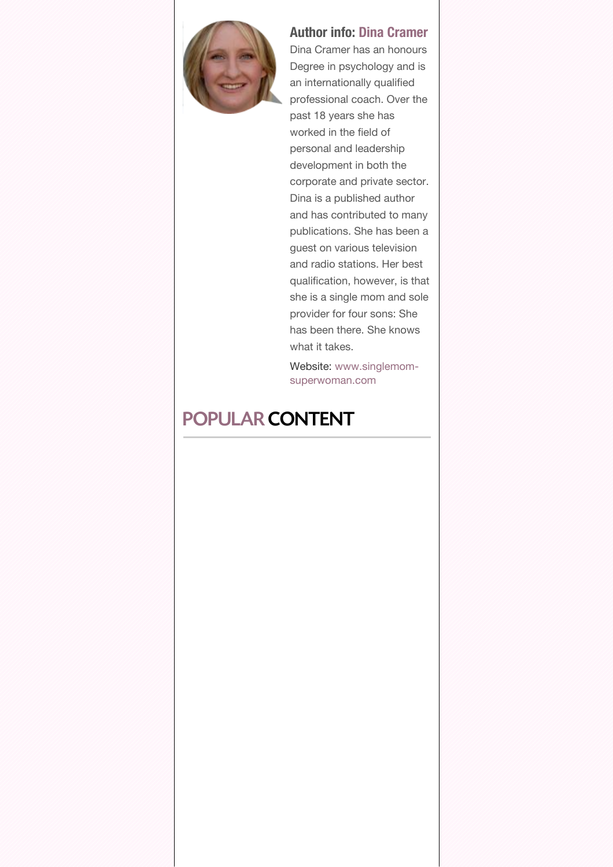<span id="page-3-0"></span>

### Author info: Dina [Cramer](http://www.all4women.co.za/author-folder/dina-cramer)

Dina Cramer has an honours Degree in psychology and is an internationally qualified professional coach. Over the past 18 years she has worked in the field of personal and leadership development in both the corporate and private sector. Dina is a published author and has contributed to many publications. She has been a guest on various television and radio stations. Her best qualification, however, is that she is a single mom and sole provider for four sons: She has been there. She knows what it takes.

Website: www.singlemom[superwoman.com](http://www.singlemom-superwoman.com/)

# POPULAR CONTENT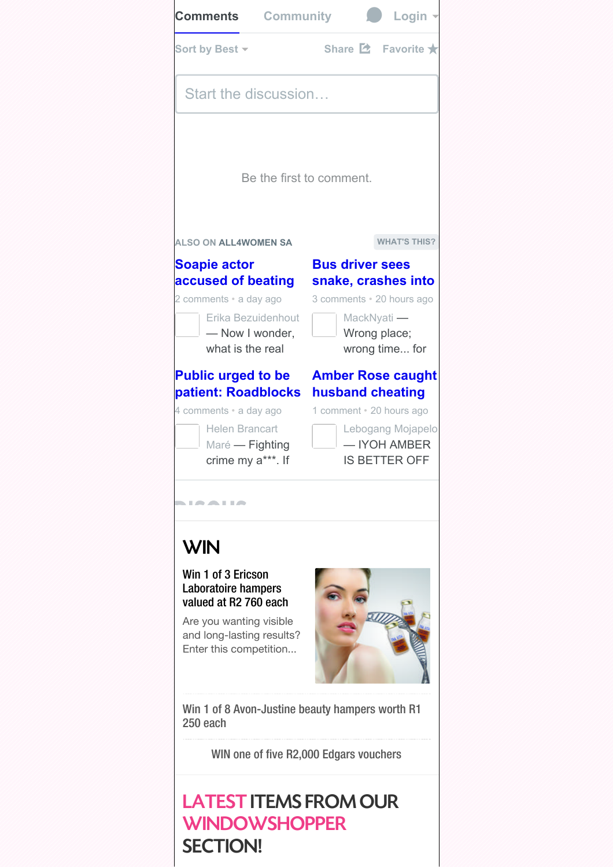<span id="page-4-0"></span>

## LATEST ITEMS FROM OUR **WINDOWSHOPPER** SECTION!